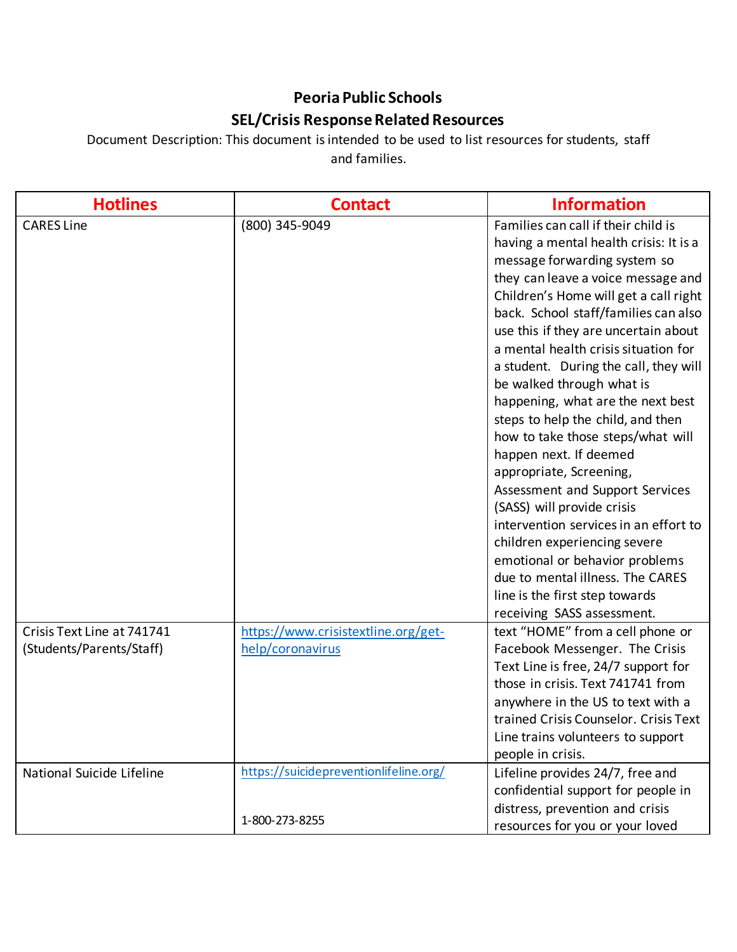## **Peoria Public Schools SEL/Crisis Response Related Resources**

Document Description: This document is intended to be used to list resources for students, staff and families.

| <b>Hotlines</b>            | <b>Contact</b>                         | <b>Information</b>                     |
|----------------------------|----------------------------------------|----------------------------------------|
| <b>CARES Line</b>          | (800) 345-9049                         | Families can call if their child is    |
|                            |                                        | having a mental health crisis: It is a |
|                            |                                        | message forwarding system so           |
|                            |                                        | they can leave a voice message and     |
|                            |                                        | Children's Home will get a call right  |
|                            |                                        | back. School staff/families can also   |
|                            |                                        | use this if they are uncertain about   |
|                            |                                        | a mental health crisis situation for   |
|                            |                                        | a student. During the call, they will  |
|                            |                                        | be walked through what is              |
|                            |                                        | happening, what are the next best      |
|                            |                                        | steps to help the child, and then      |
|                            |                                        | how to take those steps/what will      |
|                            |                                        | happen next. If deemed                 |
|                            |                                        | appropriate, Screening,                |
|                            |                                        | Assessment and Support Services        |
|                            |                                        | (SASS) will provide crisis             |
|                            |                                        | intervention services in an effort to  |
|                            |                                        | children experiencing severe           |
|                            |                                        | emotional or behavior problems         |
|                            |                                        | due to mental illness. The CARES       |
|                            |                                        | line is the first step towards         |
|                            |                                        | receiving SASS assessment.             |
| Crisis Text Line at 741741 | https://www.crisistextline.org/get-    | text "HOME" from a cell phone or       |
| (Students/Parents/Staff)   | help/coronavirus                       | Facebook Messenger. The Crisis         |
|                            |                                        | Text Line is free, 24/7 support for    |
|                            |                                        | those in crisis. Text 741741 from      |
|                            |                                        | anywhere in the US to text with a      |
|                            |                                        | trained Crisis Counselor. Crisis Text  |
|                            |                                        | Line trains volunteers to support      |
|                            |                                        | people in crisis.                      |
| National Suicide Lifeline  | https://suicidepreventionlifeline.org/ | Lifeline provides 24/7, free and       |
|                            |                                        | confidential support for people in     |
|                            | 1-800-273-8255                         | distress, prevention and crisis        |
|                            |                                        | resources for you or your loved        |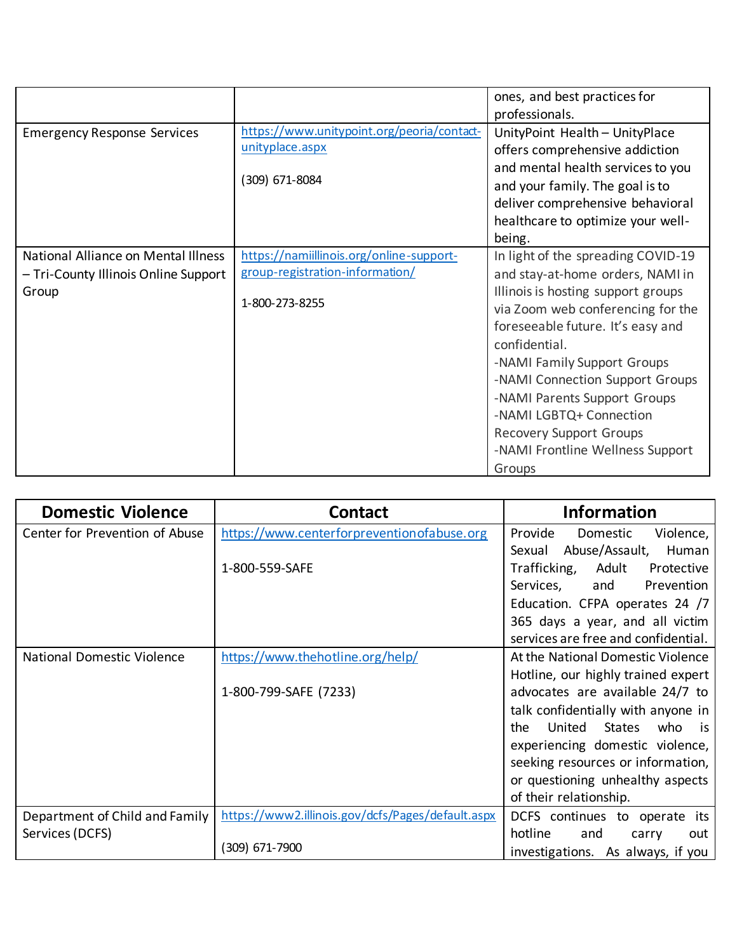|                                      |                                            | ones, and best practices for       |
|--------------------------------------|--------------------------------------------|------------------------------------|
|                                      |                                            | professionals.                     |
| <b>Emergency Response Services</b>   | https://www.unitypoint.org/peoria/contact- | UnityPoint Health - UnityPlace     |
|                                      | unityplace.aspx                            | offers comprehensive addiction     |
|                                      |                                            | and mental health services to you  |
|                                      | (309) 671-8084                             | and your family. The goal is to    |
|                                      |                                            | deliver comprehensive behavioral   |
|                                      |                                            | healthcare to optimize your well-  |
|                                      |                                            | being.                             |
| National Alliance on Mental Illness  | https://namiillinois.org/online-support-   | In light of the spreading COVID-19 |
| - Tri-County Illinois Online Support | group-registration-information/            | and stay-at-home orders, NAMI in   |
| Group                                |                                            | Illinois is hosting support groups |
|                                      | 1-800-273-8255                             | via Zoom web conferencing for the  |
|                                      |                                            | foreseeable future. It's easy and  |
|                                      |                                            | confidential.                      |
|                                      |                                            | -NAMI Family Support Groups        |
|                                      |                                            | -NAMI Connection Support Groups    |
|                                      |                                            | -NAMI Parents Support Groups       |
|                                      |                                            | -NAMI LGBTQ+ Connection            |
|                                      |                                            | <b>Recovery Support Groups</b>     |
|                                      |                                            | -NAMI Frontline Wellness Support   |
|                                      |                                            | Groups                             |

| <b>Domestic Violence</b>          | <b>Contact</b>                                    | <b>Information</b>                                 |
|-----------------------------------|---------------------------------------------------|----------------------------------------------------|
| Center for Prevention of Abuse    | https://www.centerforpreventionofabuse.org        | Provide<br>Violence,<br>Domestic                   |
|                                   |                                                   | Abuse/Assault,<br>Human<br>Sexual                  |
|                                   | 1-800-559-SAFE                                    | Trafficking,<br>Adult<br>Protective                |
|                                   |                                                   | Services,<br>and<br>Prevention                     |
|                                   |                                                   | Education. CFPA operates 24 /7                     |
|                                   |                                                   | 365 days a year, and all victim                    |
|                                   |                                                   | services are free and confidential.                |
| <b>National Domestic Violence</b> | https://www.thehotline.org/help/                  | At the National Domestic Violence                  |
|                                   |                                                   | Hotline, our highly trained expert                 |
|                                   | 1-800-799-SAFE (7233)                             | advocates are available 24/7 to                    |
|                                   |                                                   | talk confidentially with anyone in                 |
|                                   |                                                   | United<br><b>States</b><br>the<br>who<br><b>is</b> |
|                                   |                                                   | experiencing domestic violence,                    |
|                                   |                                                   | seeking resources or information,                  |
|                                   |                                                   | or questioning unhealthy aspects                   |
|                                   |                                                   | of their relationship.                             |
| Department of Child and Family    | https://www2.illinois.gov/dcfs/Pages/default.aspx | DCFS continues to operate its                      |
| Services (DCFS)                   |                                                   | hotline<br>and<br>carry<br>out                     |
|                                   | (309) 671-7900                                    | investigations. As always, if you                  |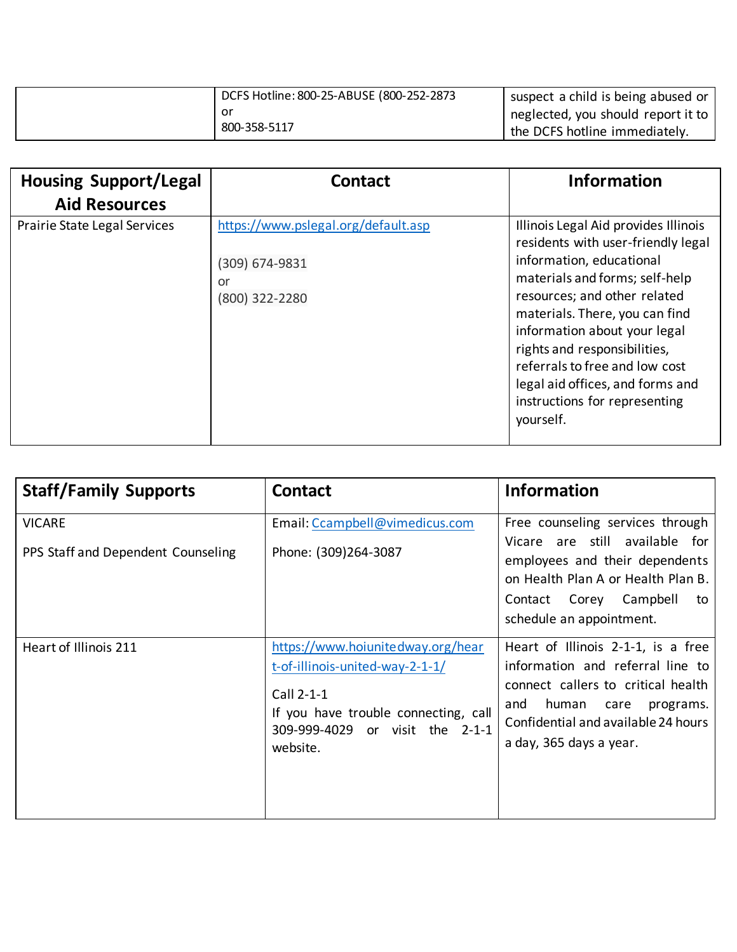| DCFS Hotline: 800-25-ABUSE (800-252-2873 | suspect a child is being abused or   |
|------------------------------------------|--------------------------------------|
| or                                       | I neglected, you should report it to |
| 800-358-5117                             | the DCFS hotline immediately.        |

| <b>Housing Support/Legal</b><br><b>Aid Resources</b> | <b>Contact</b>                      | <b>Information</b>                                                                                                                                                                                                                                 |
|------------------------------------------------------|-------------------------------------|----------------------------------------------------------------------------------------------------------------------------------------------------------------------------------------------------------------------------------------------------|
|                                                      |                                     |                                                                                                                                                                                                                                                    |
| Prairie State Legal Services                         | https://www.pslegal.org/default.asp | Illinois Legal Aid provides Illinois<br>residents with user-friendly legal                                                                                                                                                                         |
|                                                      | (309) 674-9831                      | information, educational                                                                                                                                                                                                                           |
|                                                      | or                                  | materials and forms; self-help                                                                                                                                                                                                                     |
|                                                      | (800) 322-2280                      | resources; and other related<br>materials. There, you can find<br>information about your legal<br>rights and responsibilities,<br>referrals to free and low cost<br>legal aid offices, and forms and<br>instructions for representing<br>yourself. |

| <b>Staff/Family Supports</b>                        | <b>Contact</b>                                                                                                                                                            | <b>Information</b>                                                                                                                                                                                                  |
|-----------------------------------------------------|---------------------------------------------------------------------------------------------------------------------------------------------------------------------------|---------------------------------------------------------------------------------------------------------------------------------------------------------------------------------------------------------------------|
| <b>VICARE</b><br>PPS Staff and Dependent Counseling | Email: Ccampbell@vimedicus.com<br>Phone: (309)264-3087                                                                                                                    | Free counseling services through<br>Vicare are still available for<br>employees and their dependents<br>on Health Plan A or Health Plan B.<br>Contact Corey Campbell<br>to<br>schedule an appointment.              |
| Heart of Illinois 211                               | https://www.hoiunitedway.org/hear<br>t-of-illinois-united-way-2-1-1/<br>Call 2-1-1<br>If you have trouble connecting, call<br>309-999-4029 or visit the 2-1-1<br>website. | Heart of Illinois 2-1-1, is a free<br>information and referral line to<br>connect callers to critical health<br>human<br>and<br>care<br>programs.<br>Confidential and available 24 hours<br>a day, 365 days a year. |